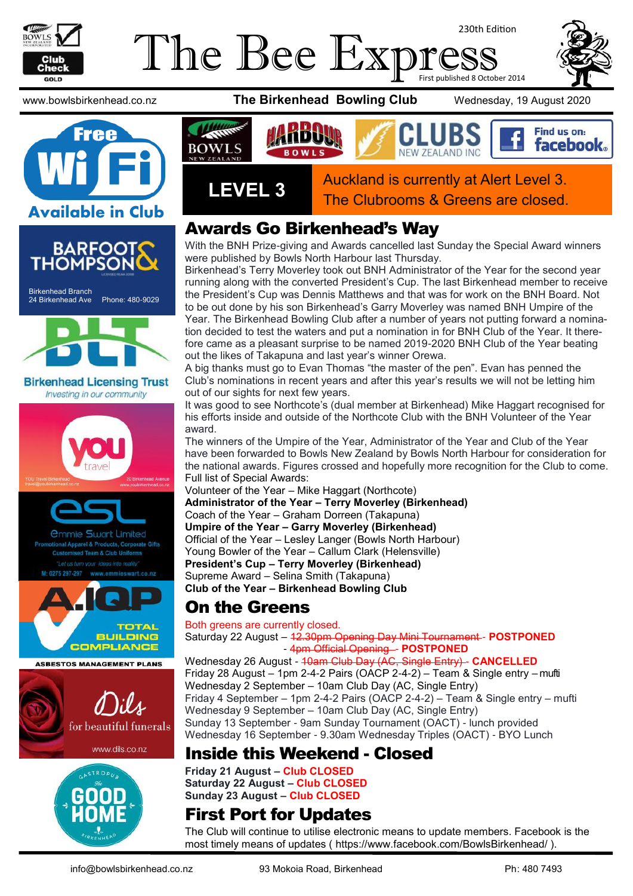

### The Bee Exp 230th Edition First published 8 October 2014

















### Awards Go Birkenhead's Way

With the BNH Prize-giving and Awards cancelled last Sunday the Special Award winners were published by Bowls North Harbour last Thursday.

Birkenhead's Terry Moverley took out BNH Administrator of the Year for the second year running along with the converted President's Cup. The last Birkenhead member to receive the President's Cup was Dennis Matthews and that was for work on the BNH Board. Not to be out done by his son Birkenhead's Garry Moverley was named BNH Umpire of the Year. The Birkenhead Bowling Club after a number of years not putting forward a nomination decided to test the waters and put a nomination in for BNH Club of the Year. It therefore came as a pleasant surprise to be named 2019-2020 BNH Club of the Year beating out the likes of Takapuna and last year's winner Orewa.

A big thanks must go to Evan Thomas "the master of the pen". Evan has penned the Club's nominations in recent years and after this year's results we will not be letting him out of our sights for next few years.

It was good to see Northcote's (dual member at Birkenhead) Mike Haggart recognised for his efforts inside and outside of the Northcote Club with the BNH Volunteer of the Year award.

The winners of the Umpire of the Year, Administrator of the Year and Club of the Year have been forwarded to Bowls New Zealand by Bowls North Harbour for consideration for the national awards. Figures crossed and hopefully more recognition for the Club to come. Full list of Special Awards:

Volunteer of the Year – Mike Haggart (Northcote) **Administrator of the Year – Terry Moverley (Birkenhead)** Coach of the Year – Graham Dorreen (Takapuna) **Umpire of the Year – Garry Moverley (Birkenhead)** Official of the Year – Lesley Langer (Bowls North Harbour) Young Bowler of the Year – Callum Clark (Helensville) **President's Cup – Terry Moverley (Birkenhead)** Supreme Award – Selina Smith (Takapuna) **Club of the Year – Birkenhead Bowling Club**

## On the Greens

Both greens are currently closed. Saturday 22 August – 12.30pm Opening Day Mini Tournament - **POSTPONED** - 4pm Official Opening - **POSTPONED** 

Wednesday 26 August - 40am Club Day (AC, Single Entry) - **CANCELLED** Friday 28 August – 1pm 2-4-2 Pairs (OACP 2-4-2) – Team & Single entry – mufti Wednesday 2 September – 10am Club Day (AC, Single Entry) Friday 4 September – 1pm 2-4-2 Pairs (OACP 2-4-2) – Team & Single entry – mufti Wednesday 9 September – 10am Club Day (AC, Single Entry) Sunday 13 September - 9am Sunday Tournament (OACT) - lunch provided Wednesday 16 September - 9.30am Wednesday Triples (OACT) - BYO Lunch

### Inside this Weekend - Closed

**Friday 21 August – Club CLOSED Saturday 22 August – Club CLOSED Sunday 23 August** *–* **Club CLOSED**

## First Port for Updates

The Club will continue to utilise electronic means to update members. Facebook is the most timely means of updates ( [https://www.facebook.com/BowlsBirkenhead/ \)](https://www.facebook.com/BowlsBirkenhead/).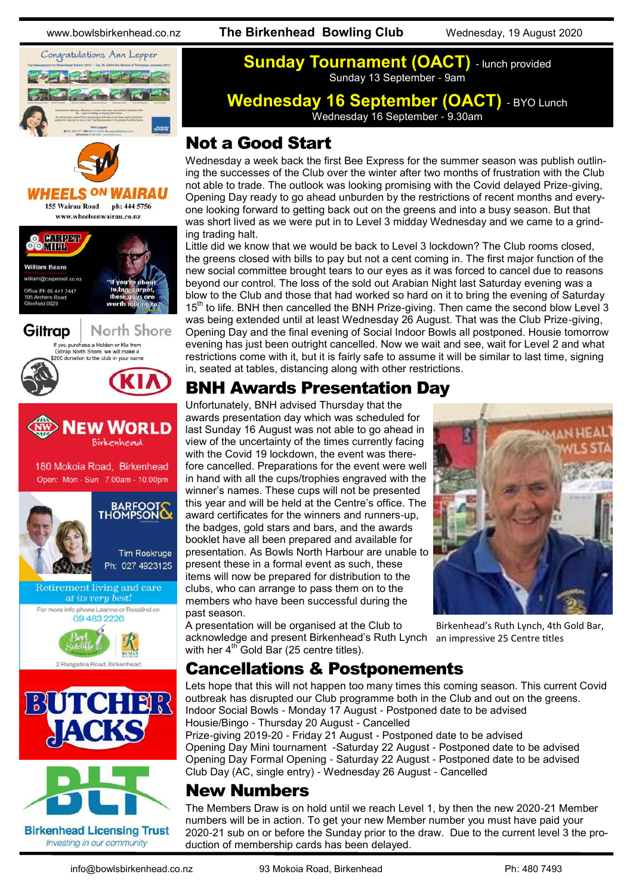www.bowlsbirkenhead.co.nz **The Birkenhead Bowling Club** Wednesday, 19 August 2020









### **Sunday Tournament (OACT)** - lunch provided Sunday 13 September - 9am

**Wednesday 16 September (OACT)** - BYO Lunch Wednesday 16 September - 9.30am

### Not a Good Start

Wednesday a week back the first Bee Express for the summer season was publish outlining the successes of the Club over the winter after two months of frustration with the Club not able to trade. The outlook was looking promising with the Covid delayed Prize-giving, Opening Day ready to go ahead unburden by the restrictions of recent months and everyone looking forward to getting back out on the greens and into a busy season. But that was short lived as we were put in to Level 3 midday Wednesday and we came to a grinding trading halt.

Little did we know that we would be back to Level 3 lockdown? The Club rooms closed, the greens closed with bills to pay but not a cent coming in. The first major function of the new social committee brought tears to our eyes as it was forced to cancel due to reasons beyond our control. The loss of the sold out Arabian Night last Saturday evening was a blow to the Club and those that had worked so hard on it to bring the evening of Saturday 15<sup>th</sup> to life. BNH then cancelled the BNH Prize-giving. Then came the second blow Level 3 was being extended until at least Wednesday 26 August. That was the Club Prize-giving, Opening Day and the final evening of Social Indoor Bowls all postponed. Housie tomorrow evening has just been outright cancelled. Now we wait and see, wait for Level 2 and what restrictions come with it, but it is fairly safe to assume it will be similar to last time, signing in, seated at tables, distancing along with other restrictions.

## BNH Awards Presentation Day

Unfortunately, BNH advised Thursday that the awards presentation day which was scheduled for last Sunday 16 August was not able to go ahead in view of the uncertainty of the times currently facing with the Covid 19 lockdown, the event was therefore cancelled. Preparations for the event were well in hand with all the cups/trophies engraved with the winner's names. These cups will not be presented this year and will be held at the Centre's office. The award certificates for the winners and runners-up, the badges, gold stars and bars, and the awards booklet have all been prepared and available for presentation. As Bowls North Harbour are unable to present these in a formal event as such, these items will now be prepared for distribution to the clubs, who can arrange to pass them on to the members who have been successful during the past season.

A presentation will be organised at the Club to acknowledge and present Birkenhead's Ruth Lynch an impressive 25 Centre titleswith her  $4^{\text{th}}$  Gold Bar (25 centre titles).



Birkenhead's Ruth Lynch, 4th Gold Bar,

# Cancellations & Postponements

Lets hope that this will not happen too many times this coming season. This current Covid outbreak has disrupted our Club programme both in the Club and out on the greens. Indoor Social Bowls - Monday 17 August - Postponed date to be advised Housie/Bingo - Thursday 20 August - Cancelled Prize-giving 2019-20 - Friday 21 August - Postponed date to be advised

Opening Day Mini tournament -Saturday 22 August - Postponed date to be advised Opening Day Formal Opening - Saturday 22 August - Postponed date to be advised Club Day (AC, single entry) - Wednesday 26 August - Cancelled

## New Numbers

The Members Draw is on hold until we reach Level 1, by then the new 2020-21 Member numbers will be in action. To get your new Member number you must have paid your 2020-21 sub on or before the Sunday prior to the draw. Due to the current level 3 the production of membership cards has been delayed.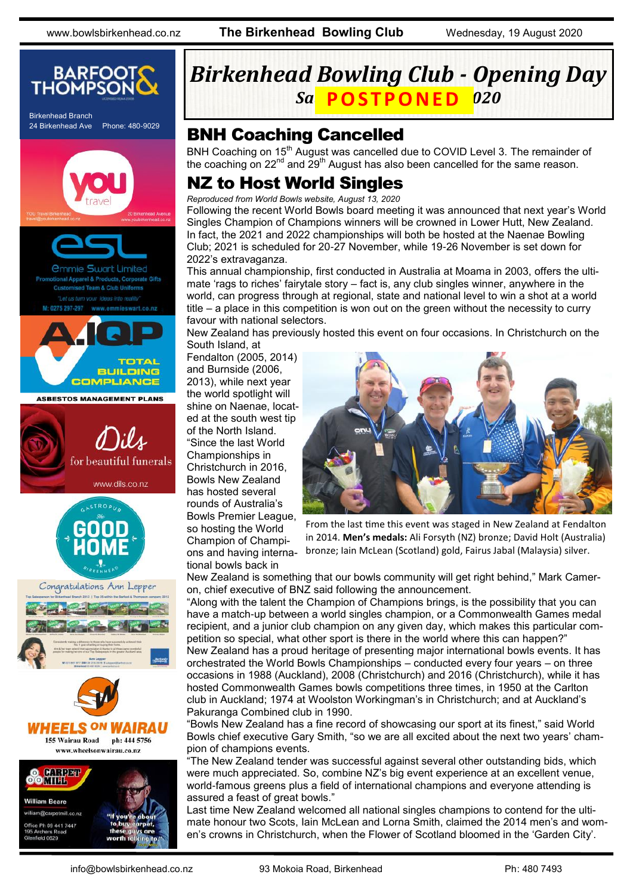www.bowlsbirkenhead.co.nz **The Birkenhead Bowling Club** Wednesday, 19 August 2020



# *Birkenhead Bowling Club - Opening Day*  ${\it Sa}$  <code>POSTPONED</code>  ${\it 020}$

### BNH Coaching Cancelled

BNH Coaching on 15<sup>th</sup> August was cancelled due to COVID Level 3. The remainder of the coaching on 22<sup>nd</sup> and 29<sup>th</sup> August has also been cancelled for the same reason.

### NZ to Host World Singles

*Reproduced from World Bowls website, August 13, 2020*

Following the recent World Bowls board meeting it was announced that next year's World Singles Champion of Champions winners will be crowned in Lower Hutt, New Zealand. In fact, the 2021 and 2022 championships will both be hosted at the Naenae Bowling Club; 2021 is scheduled for 20-27 November, while 19-26 November is set down for 2022's extravaganza.

This annual championship, first conducted in Australia at Moama in 2003, offers the ultimate 'rags to riches' fairytale story – fact is, any club singles winner, anywhere in the world, can progress through at regional, state and national level to win a shot at a world title – a place in this competition is won out on the green without the necessity to curry favour with national selectors.

New Zealand has previously hosted this event on four occasions. In Christchurch on the South Island, at

Fendalton (2005, 2014) and Burnside (2006, 2013), while next year the world spotlight will shine on Naenae, located at the south west tip of the North Island. "Since the last World Championships in Christchurch in 2016, Bowls New Zealand has hosted several rounds of Australia's Bowls Premier League, so hosting the World Champion of Champions and having international bowls back in



From the last time this event was staged in New Zealand at Fendalton in 2014. **Men's medals:** Ali Forsyth (NZ) bronze; David Holt (Australia) bronze; Iain McLean (Scotland) gold, Fairus Jabal (Malaysia) silver.

New Zealand is something that our bowls community will get right behind," Mark Cameron, chief executive of BNZ said following the announcement.

"Along with the talent the Champion of Champions brings, is the possibility that you can have a match-up between a world singles champion, or a Commonwealth Games medal recipient, and a junior club champion on any given day, which makes this particular competition so special, what other sport is there in the world where this can happen?" New Zealand has a proud heritage of presenting major international bowls events. It has orchestrated the World Bowls Championships – conducted every four years – on three occasions in 1988 (Auckland), 2008 (Christchurch) and 2016 (Christchurch), while it has hosted Commonwealth Games bowls competitions three times, in 1950 at the Carlton club in Auckland; 1974 at Woolston Workingman's in Christchurch; and at Auckland's Pakuranga Combined club in 1990.

"Bowls New Zealand has a fine record of showcasing our sport at its finest," said World Bowls chief executive Gary Smith, "so we are all excited about the next two years' champion of champions events.

"The New Zealand tender was successful against several other outstanding bids, which were much appreciated. So, combine NZ's big event experience at an excellent venue, world-famous greens plus a field of international champions and everyone attending is assured a feast of great bowls."

Last time New Zealand welcomed all national singles champions to contend for the ultimate honour two Scots, Iain McLean and Lorna Smith, claimed the 2014 men's and women's crowns in Christchurch, when the Flower of Scotland bloomed in the 'Garden City'.